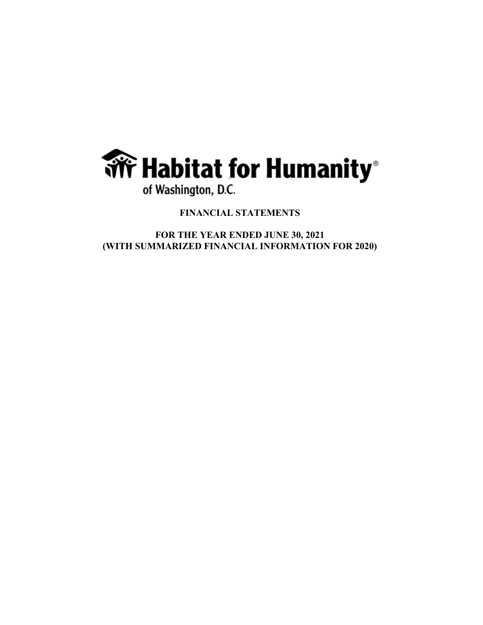

of Washington, D.C.

**FINANCIAL STATEMENTS** 

**FOR THE YEAR ENDED JUNE 30, 2021 (WITH SUMMARIZED FINANCIAL INFORMATION FOR 2020)**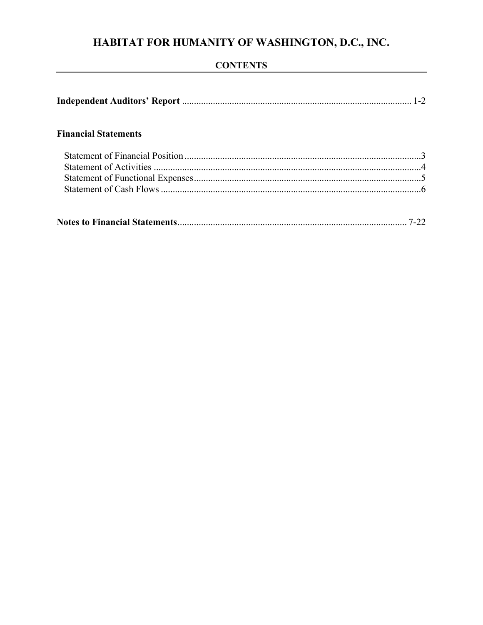## **CONTENTS**

## **Financial Statements**

|--|--|--|--|--|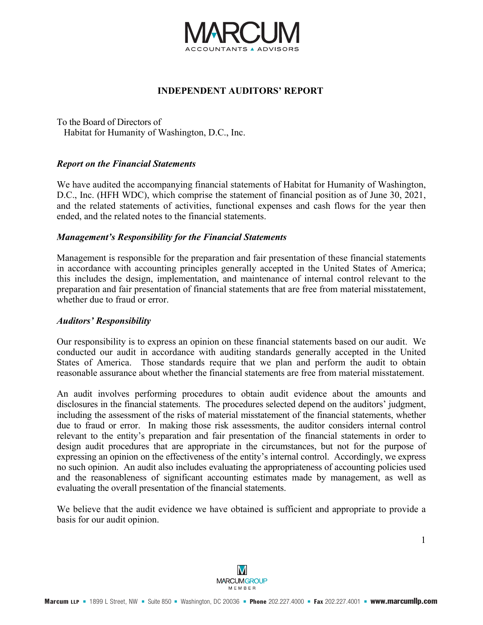

## **INDEPENDENT AUDITORS' REPORT**

To the Board of Directors of Habitat for Humanity of Washington, D.C., Inc.

#### *Report on the Financial Statements*

We have audited the accompanying financial statements of Habitat for Humanity of Washington, D.C., Inc. (HFH WDC), which comprise the statement of financial position as of June 30, 2021, and the related statements of activities, functional expenses and cash flows for the year then ended, and the related notes to the financial statements.

#### *Management's Responsibility for the Financial Statements*

Management is responsible for the preparation and fair presentation of these financial statements in accordance with accounting principles generally accepted in the United States of America; this includes the design, implementation, and maintenance of internal control relevant to the preparation and fair presentation of financial statements that are free from material misstatement, whether due to fraud or error.

#### *Auditors' Responsibility*

Our responsibility is to express an opinion on these financial statements based on our audit. We conducted our audit in accordance with auditing standards generally accepted in the United States of America. Those standards require that we plan and perform the audit to obtain reasonable assurance about whether the financial statements are free from material misstatement.

An audit involves performing procedures to obtain audit evidence about the amounts and disclosures in the financial statements. The procedures selected depend on the auditors' judgment, including the assessment of the risks of material misstatement of the financial statements, whether due to fraud or error. In making those risk assessments, the auditor considers internal control relevant to the entity's preparation and fair presentation of the financial statements in order to design audit procedures that are appropriate in the circumstances, but not for the purpose of expressing an opinion on the effectiveness of the entity's internal control. Accordingly, we express no such opinion. An audit also includes evaluating the appropriateness of accounting policies used and the reasonableness of significant accounting estimates made by management, as well as evaluating the overall presentation of the financial statements.

We believe that the audit evidence we have obtained is sufficient and appropriate to provide a basis for our audit opinion.

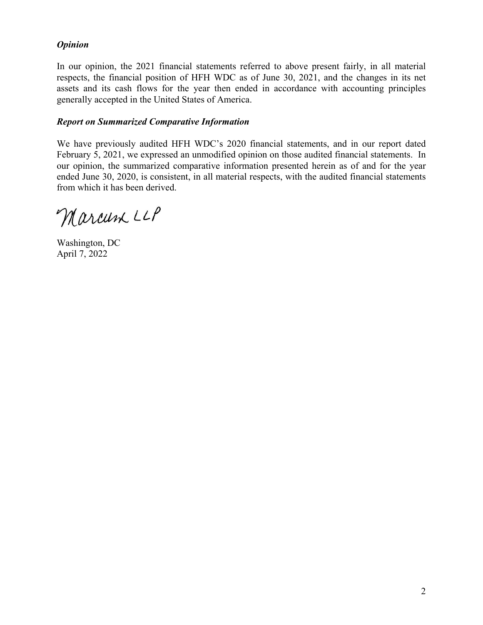## *Opinion*

In our opinion, the 2021 financial statements referred to above present fairly, in all material respects, the financial position of HFH WDC as of June 30, 2021, and the changes in its net assets and its cash flows for the year then ended in accordance with accounting principles generally accepted in the United States of America.

## *Report on Summarized Comparative Information*

We have previously audited HFH WDC's 2020 financial statements, and in our report dated February 5, 2021, we expressed an unmodified opinion on those audited financial statements. In our opinion, the summarized comparative information presented herein as of and for the year ended June 30, 2020, is consistent, in all material respects, with the audited financial statements from which it has been derived.

Marcum LLP

Washington, DC April 7, 2022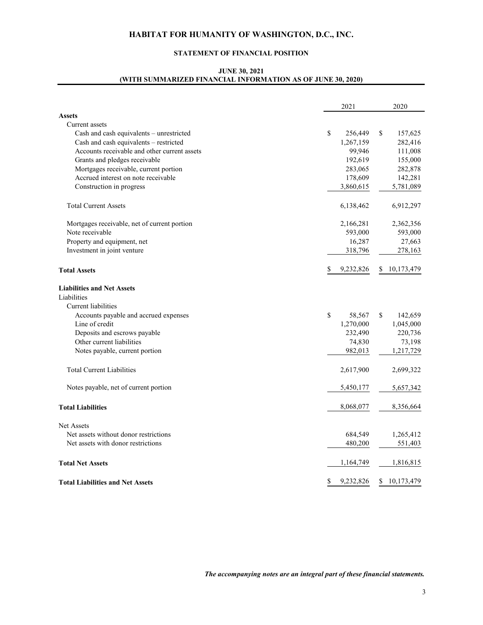# **STATEMENT OF FINANCIAL POSITION**

## **(WITH SUMMARIZED FINANCIAL INFORMATION AS OF JUNE 30, 2020) JUNE 30, 2021**

|                                              |    | 2021      |              | 2020         |
|----------------------------------------------|----|-----------|--------------|--------------|
| <b>Assets</b>                                |    |           |              |              |
| Current assets                               |    |           |              |              |
| Cash and cash equivalents – unrestricted     | \$ | 256,449   | $\mathbb{S}$ | 157,625      |
| Cash and cash equivalents - restricted       |    | 1,267,159 |              | 282,416      |
| Accounts receivable and other current assets |    | 99,946    |              | 111,008      |
| Grants and pledges receivable                |    | 192,619   |              | 155,000      |
| Mortgages receivable, current portion        |    | 283,065   |              | 282,878      |
| Accrued interest on note receivable          |    | 178,609   |              | 142,281      |
| Construction in progress                     |    | 3,860,615 |              | 5,781,089    |
| <b>Total Current Assets</b>                  |    | 6,138,462 |              | 6,912,297    |
| Mortgages receivable, net of current portion |    | 2,166,281 |              | 2,362,356    |
| Note receivable                              |    | 593,000   |              | 593,000      |
| Property and equipment, net                  |    | 16,287    |              | 27,663       |
| Investment in joint venture                  |    | 318,796   |              | 278,163      |
| <b>Total Assets</b>                          | \$ | 9,232,826 | \$           | 10,173,479   |
| <b>Liabilities and Net Assets</b>            |    |           |              |              |
| Liabilities                                  |    |           |              |              |
| <b>Current liabilities</b>                   |    |           |              |              |
| Accounts payable and accrued expenses        | \$ | 58,567    | $\mathbb{S}$ | 142,659      |
| Line of credit                               |    | 1,270,000 |              | 1,045,000    |
| Deposits and escrows payable                 |    | 232,490   |              | 220,736      |
| Other current liabilities                    |    | 74,830    |              | 73,198       |
| Notes payable, current portion               |    | 982,013   |              | 1,217,729    |
| <b>Total Current Liabilities</b>             |    | 2,617,900 |              | 2,699,322    |
| Notes payable, net of current portion        |    | 5,450,177 |              | 5,657,342    |
| <b>Total Liabilities</b>                     |    | 8,068,077 |              | 8,356,664    |
| Net Assets                                   |    |           |              |              |
| Net assets without donor restrictions        |    | 684,549   |              | 1,265,412    |
| Net assets with donor restrictions           |    | 480,200   |              | 551,403      |
| <b>Total Net Assets</b>                      |    | 1,164,749 |              | 1,816,815    |
| <b>Total Liabilities and Net Assets</b>      | S  | 9,232,826 |              | \$10,173,479 |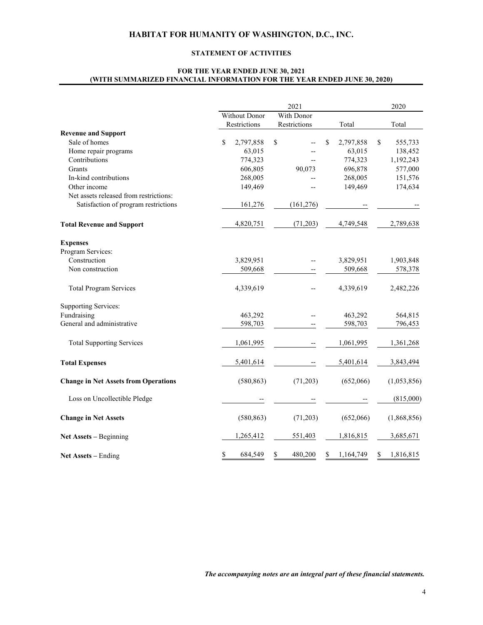## **STATEMENT OF ACTIVITIES**

## **(WITH SUMMARIZED FINANCIAL INFORMATION FOR THE YEAR ENDED JUNE 30, 2020) FOR THE YEAR ENDED JUNE 30, 2021**

|                                             |                      | 2021          |                 | 2020          |
|---------------------------------------------|----------------------|---------------|-----------------|---------------|
|                                             | <b>Without Donor</b> | With Donor    |                 |               |
|                                             | Restrictions         | Restrictions  | Total           | Total         |
| <b>Revenue and Support</b>                  |                      |               |                 |               |
| Sale of homes                               | \$<br>2,797,858      | \$            | \$<br>2,797,858 | \$<br>555,733 |
| Home repair programs                        | 63,015               |               | 63,015          | 138,452       |
| Contributions                               | 774,323              |               | 774,323         | 1,192,243     |
| Grants                                      | 606,805              | 90,073        | 696,878         | 577,000       |
| In-kind contributions                       | 268,005              |               | 268,005         | 151,576       |
| Other income                                | 149,469              |               | 149,469         | 174,634       |
| Net assets released from restrictions:      |                      |               |                 |               |
| Satisfaction of program restrictions        | 161,276              | (161, 276)    |                 |               |
| <b>Total Revenue and Support</b>            | 4,820,751            | (71,203)      | 4,749,548       | 2,789,638     |
| <b>Expenses</b>                             |                      |               |                 |               |
| Program Services:                           |                      |               |                 |               |
| Construction                                | 3,829,951            |               | 3,829,951       | 1,903,848     |
| Non construction                            | 509,668              |               | 509,668         | 578,378       |
| <b>Total Program Services</b>               | 4,339,619            |               | 4,339,619       | 2,482,226     |
| <b>Supporting Services:</b>                 |                      |               |                 |               |
| Fundraising                                 | 463,292              |               | 463,292         | 564,815       |
| General and administrative                  | 598,703              | --            | 598,703         | 796,453       |
| <b>Total Supporting Services</b>            | 1,061,995            |               | 1,061,995       | 1,361,268     |
| <b>Total Expenses</b>                       | 5,401,614            |               | 5,401,614       | 3,843,494     |
| <b>Change in Net Assets from Operations</b> | (580, 863)           | (71,203)      | (652,066)       | (1,053,856)   |
| Loss on Uncollectible Pledge                | --                   |               |                 | (815,000)     |
| <b>Change in Net Assets</b>                 | (580, 863)           | (71,203)      | (652,066)       | (1,868,856)   |
| Net Assets – Beginning                      | 1,265,412            | 551,403       | 1,816,815       | 3,685,671     |
| <b>Net Assets – Ending</b>                  | 684,549<br>\$        | \$<br>480,200 | 1,164,749       | 1,816,815     |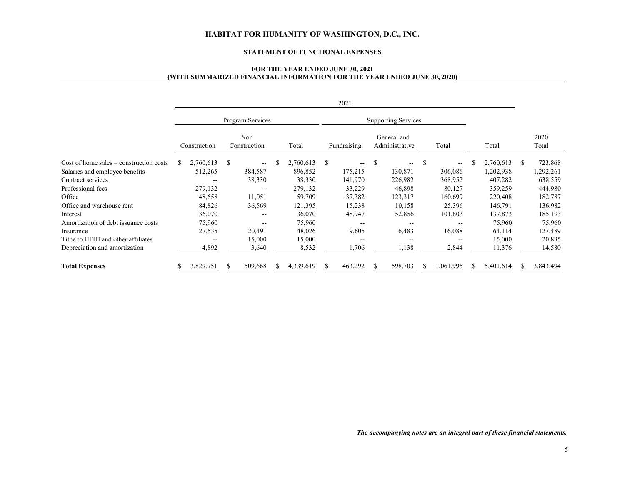## **STATEMENT OF FUNCTIONAL EXPENSES**

# **(WITH SUMMARIZED FINANCIAL INFORMATION FOR THE YEAR ENDED JUNE 30, 2020) FOR THE YEAR ENDED JUNE 30, 2021**

|                                           |                           |                                                       |             |           |    | 2021                     |              |                          |   |          |      |           |              |           |
|-------------------------------------------|---------------------------|-------------------------------------------------------|-------------|-----------|----|--------------------------|--------------|--------------------------|---|----------|------|-----------|--------------|-----------|
|                                           |                           | <b>Program Services</b><br><b>Supporting Services</b> |             |           |    |                          |              |                          |   |          |      |           |              |           |
|                                           |                           |                                                       | General and |           |    |                          |              |                          |   |          | 2020 |           |              |           |
|                                           | Construction              | Construction                                          |             | Total     |    | Fundraising              |              | Administrative           |   | Total    |      | Total     |              | Total     |
| Cost of home sales $-$ construction costs | 2,760,613<br>$\mathbb{S}$ | S                                                     |             | 2,760,613 | \$ | $\overline{\phantom{a}}$ | $\mathbb{S}$ | $\overline{\phantom{m}}$ | S | $- -$    |      | 2,760,613 | $\mathbb{S}$ | 723,868   |
| Salaries and employee benefits            | 512,265                   | 384,587                                               |             | 896,852   |    | 175,215                  |              | 130,871                  |   | 306,086  |      | 1,202,938 |              | 1,292,261 |
| Contract services                         | $- -$                     | 38,330                                                |             | 38,330    |    | 141,970                  |              | 226,982                  |   | 368,952  |      | 407,282   |              | 638,559   |
| Professional fees                         | 279,132                   | $- -$                                                 |             | 279,132   |    | 33,229                   |              | 46,898                   |   | 80,127   |      | 359,259   |              | 444,980   |
| Office                                    | 48,658                    | 11,051                                                |             | 59,709    |    | 37,382                   |              | 123,317                  |   | 160,699  |      | 220,408   |              | 182,787   |
| Office and warehouse rent                 | 84,826                    | 36,569                                                |             | 121,395   |    | 15,238                   |              | 10,158                   |   | 25,396   |      | 146,791   |              | 136,982   |
| Interest                                  | 36,070                    | $- -$                                                 |             | 36,070    |    | 48,947                   |              | 52,856                   |   | 101,803  |      | 137,873   |              | 185,193   |
| Amortization of debt issuance costs       | 75,960                    |                                                       |             | 75,960    |    |                          |              |                          |   |          |      | 75,960    |              | 75,960    |
| Insurance                                 | 27,535                    | 20,491                                                |             | 48,026    |    | 9,605                    |              | 6,483                    |   | 16,088   |      | 64,114    |              | 127,489   |
| Tithe to HFHI and other affiliates        | $- -$                     | 15,000                                                |             | 15,000    |    | $\overline{\phantom{m}}$ |              |                          |   | $- -$    |      | 15,000    |              | 20,835    |
| Depreciation and amortization             | 4,892                     | 3,640                                                 |             | 8,532     |    | 1,706                    |              | 1,138                    |   | 2,844    |      | 11,376    |              | 14,580    |
| <b>Total Expenses</b>                     | 3,829,951<br>J.           | 509,668                                               |             | 4,339,619 |    | 463,292                  |              | 598,703                  |   | ,061,995 |      | 5,401,614 | S.           | 3,843,494 |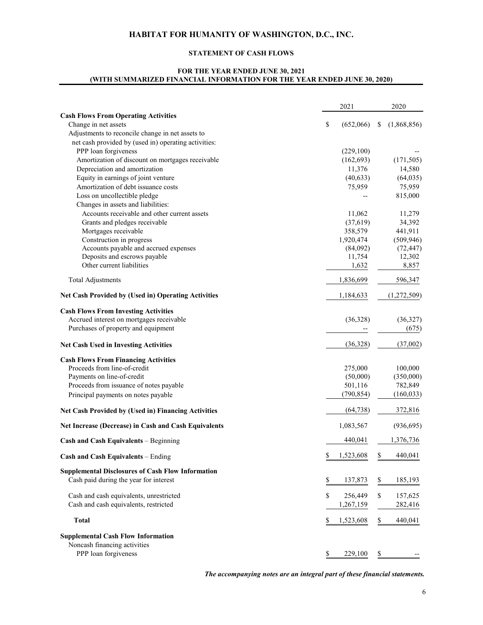## **STATEMENT OF CASH FLOWS**

## **(WITH SUMMARIZED FINANCIAL INFORMATION FOR THE YEAR ENDED JUNE 30, 2020) FOR THE YEAR ENDED JUNE 30, 2021**

|                                                             | 2021            |              | 2020        |
|-------------------------------------------------------------|-----------------|--------------|-------------|
| <b>Cash Flows From Operating Activities</b>                 |                 |              |             |
| Change in net assets                                        | \$<br>(652,066) | <sup>S</sup> | (1,868,856) |
| Adjustments to reconcile change in net assets to            |                 |              |             |
| net cash provided by (used in) operating activities:        |                 |              |             |
| PPP loan forgiveness                                        | (229,100)       |              |             |
| Amortization of discount on mortgages receivable            | (162, 693)      |              | (171, 505)  |
| Depreciation and amortization                               | 11,376          |              | 14,580      |
| Equity in earnings of joint venture                         | (40, 633)       |              | (64, 035)   |
| Amortization of debt issuance costs                         | 75,959          |              | 75,959      |
| Loss on uncollectible pledge                                |                 |              | 815,000     |
| Changes in assets and liabilities:                          |                 |              |             |
| Accounts receivable and other current assets                | 11,062          |              | 11,279      |
| Grants and pledges receivable                               | (37,619)        |              | 34,392      |
| Mortgages receivable                                        | 358,579         |              | 441,911     |
| Construction in progress                                    | 1,920,474       |              | (509, 946)  |
| Accounts payable and accrued expenses                       | (84,092)        |              | (72, 447)   |
| Deposits and escrows payable                                | 11,754          |              | 12,302      |
| Other current liabilities                                   | 1,632           |              | 8,857       |
|                                                             |                 |              |             |
| <b>Total Adjustments</b>                                    | 1,836,699       |              | 596,347     |
| <b>Net Cash Provided by (Used in) Operating Activities</b>  | 1,184,633       |              | (1,272,509) |
| <b>Cash Flows From Investing Activities</b>                 |                 |              |             |
| Accrued interest on mortgages receivable                    | (36,328)        |              | (36,327)    |
| Purchases of property and equipment                         |                 |              | (675)       |
| <b>Net Cash Used in Investing Activities</b>                | (36,328)        |              | (37,002)    |
| <b>Cash Flows From Financing Activities</b>                 |                 |              |             |
| Proceeds from line-of-credit                                | 275,000         |              | 100,000     |
| Payments on line-of-credit                                  | (50,000)        |              | (350,000)   |
| Proceeds from issuance of notes payable                     | 501,116         |              | 782,849     |
| Principal payments on notes payable                         | (790, 854)      |              | (160, 033)  |
| Net Cash Provided by (Used in) Financing Activities         | (64, 738)       |              | 372,816     |
| <b>Net Increase (Decrease) in Cash and Cash Equivalents</b> | 1,083,567       |              | (936, 695)  |
| <b>Cash and Cash Equivalents</b> – Beginning                | 440,041         |              | 1,376,736   |
| <b>Cash and Cash Equivalents</b> – Ending                   | 1,523,608       | \$           | 440,041     |
| <b>Supplemental Disclosures of Cash Flow Information</b>    |                 |              |             |
| Cash paid during the year for interest                      | \$<br>137,873   | \$           | 185,193     |
|                                                             |                 |              |             |
| Cash and cash equivalents, unrestricted                     | \$<br>256,449   | \$           | 157,625     |
| Cash and cash equivalents, restricted                       | 1,267,159       |              | 282,416     |
| <b>Total</b>                                                | \$<br>1,523,608 | \$           | 440,041     |
| <b>Supplemental Cash Flow Information</b>                   |                 |              |             |
| Noncash financing activities                                |                 |              |             |
|                                                             |                 |              |             |
| PPP loan forgiveness                                        | \$<br>229,100   | \$           |             |

*The accompanying notes are an integral part of these financial statements.*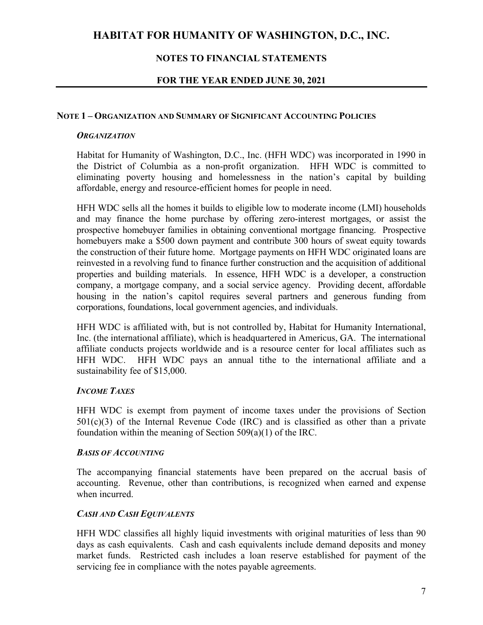## **NOTES TO FINANCIAL STATEMENTS**

## **FOR THE YEAR ENDED JUNE 30, 2021**

#### **NOTE 1 – ORGANIZATION AND SUMMARY OF SIGNIFICANT ACCOUNTING POLICIES**

#### *ORGANIZATION*

Habitat for Humanity of Washington, D.C., Inc. (HFH WDC) was incorporated in 1990 in the District of Columbia as a non-profit organization. HFH WDC is committed to eliminating poverty housing and homelessness in the nation's capital by building affordable, energy and resource-efficient homes for people in need.

HFH WDC sells all the homes it builds to eligible low to moderate income (LMI) households and may finance the home purchase by offering zero-interest mortgages, or assist the prospective homebuyer families in obtaining conventional mortgage financing. Prospective homebuyers make a \$500 down payment and contribute 300 hours of sweat equity towards the construction of their future home. Mortgage payments on HFH WDC originated loans are reinvested in a revolving fund to finance further construction and the acquisition of additional properties and building materials. In essence, HFH WDC is a developer, a construction company, a mortgage company, and a social service agency. Providing decent, affordable housing in the nation's capitol requires several partners and generous funding from corporations, foundations, local government agencies, and individuals.

HFH WDC is affiliated with, but is not controlled by, Habitat for Humanity International, Inc. (the international affiliate), which is headquartered in Americus, GA. The international affiliate conducts projects worldwide and is a resource center for local affiliates such as HFH WDC. HFH WDC pays an annual tithe to the international affiliate and a sustainability fee of \$15,000.

## *INCOME TAXES*

HFH WDC is exempt from payment of income taxes under the provisions of Section  $501(c)(3)$  of the Internal Revenue Code (IRC) and is classified as other than a private foundation within the meaning of Section 509(a)(1) of the IRC.

## *BASIS OF ACCOUNTING*

The accompanying financial statements have been prepared on the accrual basis of accounting. Revenue, other than contributions, is recognized when earned and expense when incurred.

## *CASH AND CASH EQUIVALENTS*

HFH WDC classifies all highly liquid investments with original maturities of less than 90 days as cash equivalents. Cash and cash equivalents include demand deposits and money market funds. Restricted cash includes a loan reserve established for payment of the servicing fee in compliance with the notes payable agreements.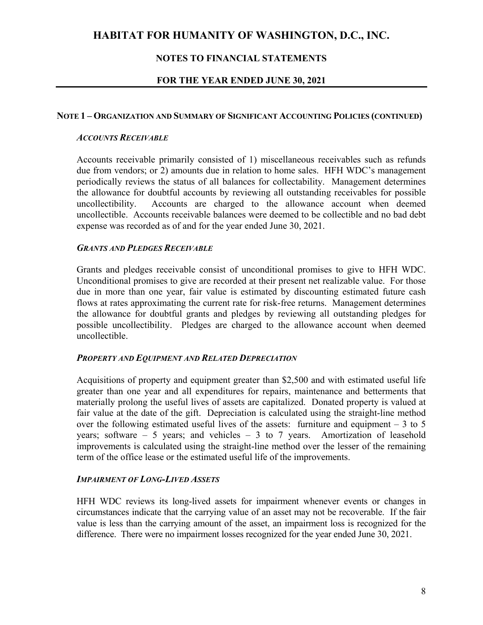## **NOTES TO FINANCIAL STATEMENTS**

## **FOR THE YEAR ENDED JUNE 30, 2021**

## **NOTE 1 – ORGANIZATION AND SUMMARY OF SIGNIFICANT ACCOUNTING POLICIES (CONTINUED)**

## *ACCOUNTS RECEIVABLE*

Accounts receivable primarily consisted of 1) miscellaneous receivables such as refunds due from vendors; or 2) amounts due in relation to home sales. HFH WDC's management periodically reviews the status of all balances for collectability. Management determines the allowance for doubtful accounts by reviewing all outstanding receivables for possible uncollectibility. Accounts are charged to the allowance account when deemed uncollectible. Accounts receivable balances were deemed to be collectible and no bad debt expense was recorded as of and for the year ended June 30, 2021.

#### *GRANTS AND PLEDGES RECEIVABLE*

Grants and pledges receivable consist of unconditional promises to give to HFH WDC. Unconditional promises to give are recorded at their present net realizable value. For those due in more than one year, fair value is estimated by discounting estimated future cash flows at rates approximating the current rate for risk-free returns. Management determines the allowance for doubtful grants and pledges by reviewing all outstanding pledges for possible uncollectibility. Pledges are charged to the allowance account when deemed uncollectible.

## *PROPERTY AND EQUIPMENT AND RELATED DEPRECIATION*

Acquisitions of property and equipment greater than \$2,500 and with estimated useful life greater than one year and all expenditures for repairs, maintenance and betterments that materially prolong the useful lives of assets are capitalized. Donated property is valued at fair value at the date of the gift. Depreciation is calculated using the straight-line method over the following estimated useful lives of the assets: furniture and equipment  $-3$  to 5 years; software  $-5$  years; and vehicles  $-3$  to 7 years. Amortization of leasehold improvements is calculated using the straight-line method over the lesser of the remaining term of the office lease or the estimated useful life of the improvements.

## *IMPAIRMENT OF LONG-LIVED ASSETS*

HFH WDC reviews its long-lived assets for impairment whenever events or changes in circumstances indicate that the carrying value of an asset may not be recoverable. If the fair value is less than the carrying amount of the asset, an impairment loss is recognized for the difference. There were no impairment losses recognized for the year ended June 30, 2021.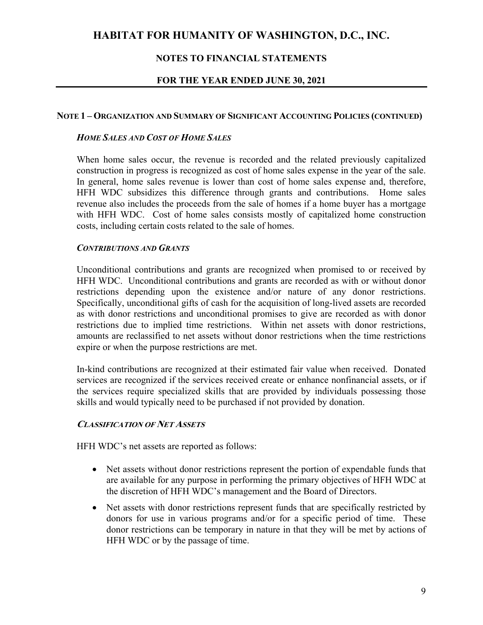## **NOTES TO FINANCIAL STATEMENTS**

## **FOR THE YEAR ENDED JUNE 30, 2021**

## **NOTE 1 – ORGANIZATION AND SUMMARY OF SIGNIFICANT ACCOUNTING POLICIES (CONTINUED)**

## *HOME SALES AND COST OF HOME SALES*

When home sales occur, the revenue is recorded and the related previously capitalized construction in progress is recognized as cost of home sales expense in the year of the sale. In general, home sales revenue is lower than cost of home sales expense and, therefore, HFH WDC subsidizes this difference through grants and contributions. Home sales revenue also includes the proceeds from the sale of homes if a home buyer has a mortgage with HFH WDC. Cost of home sales consists mostly of capitalized home construction costs, including certain costs related to the sale of homes.

#### *CONTRIBUTIONS AND GRANTS*

Unconditional contributions and grants are recognized when promised to or received by HFH WDC. Unconditional contributions and grants are recorded as with or without donor restrictions depending upon the existence and/or nature of any donor restrictions. Specifically, unconditional gifts of cash for the acquisition of long-lived assets are recorded as with donor restrictions and unconditional promises to give are recorded as with donor restrictions due to implied time restrictions. Within net assets with donor restrictions, amounts are reclassified to net assets without donor restrictions when the time restrictions expire or when the purpose restrictions are met.

In-kind contributions are recognized at their estimated fair value when received. Donated services are recognized if the services received create or enhance nonfinancial assets, or if the services require specialized skills that are provided by individuals possessing those skills and would typically need to be purchased if not provided by donation.

## **CLASSIFICATION OF NET ASSETS**

HFH WDC's net assets are reported as follows:

- Net assets without donor restrictions represent the portion of expendable funds that are available for any purpose in performing the primary objectives of HFH WDC at the discretion of HFH WDC's management and the Board of Directors.
- Net assets with donor restrictions represent funds that are specifically restricted by donors for use in various programs and/or for a specific period of time. These donor restrictions can be temporary in nature in that they will be met by actions of HFH WDC or by the passage of time.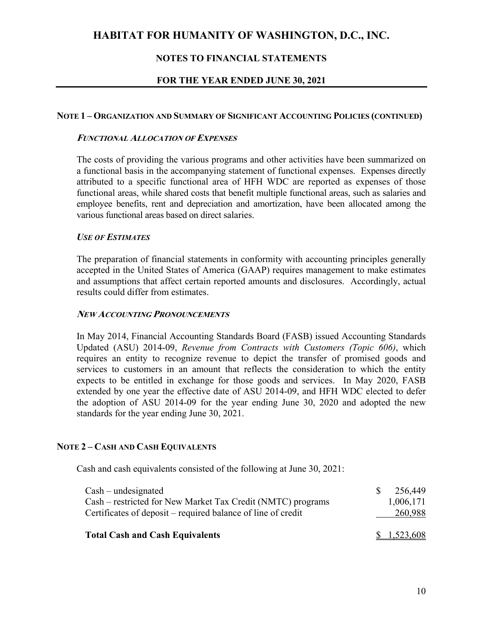## **NOTES TO FINANCIAL STATEMENTS**

## **FOR THE YEAR ENDED JUNE 30, 2021**

## **NOTE 1 – ORGANIZATION AND SUMMARY OF SIGNIFICANT ACCOUNTING POLICIES (CONTINUED)**

#### **FUNCTIONAL ALLOCATION OF EXPENSES**

The costs of providing the various programs and other activities have been summarized on a functional basis in the accompanying statement of functional expenses. Expenses directly attributed to a specific functional area of HFH WDC are reported as expenses of those functional areas, while shared costs that benefit multiple functional areas, such as salaries and employee benefits, rent and depreciation and amortization, have been allocated among the various functional areas based on direct salaries.

#### *USE OF ESTIMATES*

The preparation of financial statements in conformity with accounting principles generally accepted in the United States of America (GAAP) requires management to make estimates and assumptions that affect certain reported amounts and disclosures. Accordingly, actual results could differ from estimates.

#### **NEW ACCOUNTING PRONOUNCEMENTS**

In May 2014, Financial Accounting Standards Board (FASB) issued Accounting Standards Updated (ASU) 2014-09, *Revenue from Contracts with Customers (Topic 606)*, which requires an entity to recognize revenue to depict the transfer of promised goods and services to customers in an amount that reflects the consideration to which the entity expects to be entitled in exchange for those goods and services. In May 2020, FASB extended by one year the effective date of ASU 2014-09, and HFH WDC elected to defer the adoption of ASU 2014-09 for the year ending June 30, 2020 and adopted the new standards for the year ending June 30, 2021.

#### **NOTE 2 – CASH AND CASH EQUIVALENTS**

Cash and cash equivalents consisted of the following at June 30, 2021:

| <b>Total Cash and Cash Equivalents</b>                                                                                      |     | \$1,523,608          |
|-----------------------------------------------------------------------------------------------------------------------------|-----|----------------------|
| Cash – restricted for New Market Tax Credit (NMTC) programs<br>Certificates of deposit – required balance of line of credit |     | 1,006,171<br>260,988 |
| $Cash - undesignated$                                                                                                       | -SS | 256,449              |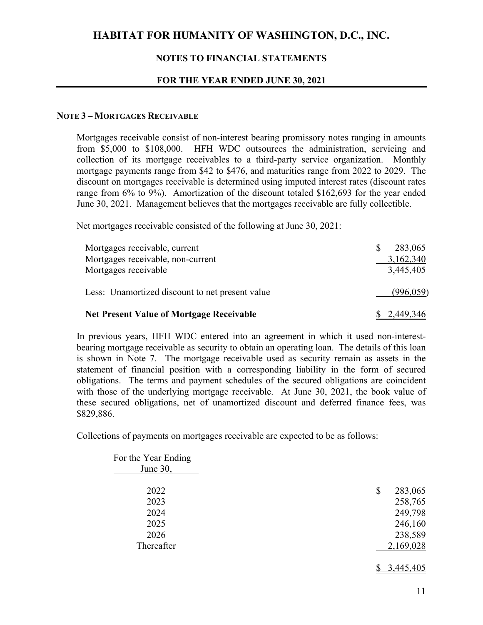## **NOTES TO FINANCIAL STATEMENTS**

## **FOR THE YEAR ENDED JUNE 30, 2021**

#### **NOTE 3 – MORTGAGES RECEIVABLE**

Mortgages receivable consist of non-interest bearing promissory notes ranging in amounts from \$5,000 to \$108,000. HFH WDC outsources the administration, servicing and collection of its mortgage receivables to a third-party service organization. Monthly mortgage payments range from \$42 to \$476, and maturities range from 2022 to 2029. The discount on mortgages receivable is determined using imputed interest rates (discount rates range from 6% to 9%). Amortization of the discount totaled \$162,693 for the year ended June 30, 2021. Management believes that the mortgages receivable are fully collectible.

Net mortgages receivable consisted of the following at June 30, 2021:

| Less: Unamortized discount to net present value                                                  | (996, 059)                        |
|--------------------------------------------------------------------------------------------------|-----------------------------------|
| Mortgages receivable, current<br>S.<br>Mortgages receivable, non-current<br>Mortgages receivable | 283,065<br>3,162,340<br>3,445,405 |

In previous years, HFH WDC entered into an agreement in which it used non-interestbearing mortgage receivable as security to obtain an operating loan. The details of this loan is shown in Note 7. The mortgage receivable used as security remain as assets in the statement of financial position with a corresponding liability in the form of secured obligations. The terms and payment schedules of the secured obligations are coincident with those of the underlying mortgage receivable. At June 30, 2021, the book value of these secured obligations, net of unamortized discount and deferred finance fees, was \$829,886.

Collections of payments on mortgages receivable are expected to be as follows:

| For the Year Ending |                 |
|---------------------|-----------------|
| June 30,            |                 |
| 2022                | \$<br>283,065   |
| 2023                | 258,765         |
| 2024                | 249,798         |
| 2025                | 246,160         |
| 2026                | 238,589         |
| Thereafter          | 2,169,028       |
|                     | \$<br>3,445,405 |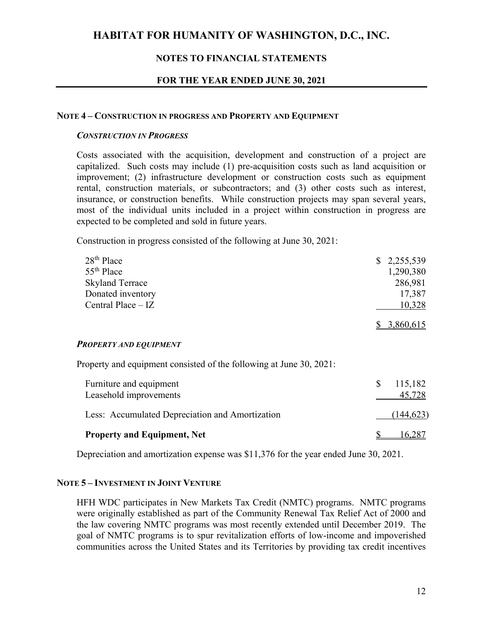## **NOTES TO FINANCIAL STATEMENTS**

## **FOR THE YEAR ENDED JUNE 30, 2021**

#### **NOTE 4 – CONSTRUCTION IN PROGRESS AND PROPERTY AND EQUIPMENT**

#### *CONSTRUCTION IN PROGRESS*

Costs associated with the acquisition, development and construction of a project are capitalized. Such costs may include (1) pre-acquisition costs such as land acquisition or improvement; (2) infrastructure development or construction costs such as equipment rental, construction materials, or subcontractors; and (3) other costs such as interest, insurance, or construction benefits. While construction projects may span several years, most of the individual units included in a project within construction in progress are expected to be completed and sold in future years.

Construction in progress consisted of the following at June 30, 2021:

| $28th$ Place                                                        | \$2,255,539   |
|---------------------------------------------------------------------|---------------|
| $55th$ Place                                                        | 1,290,380     |
| <b>Skyland Terrace</b>                                              | 286,981       |
| Donated inventory                                                   | 17,387        |
| Central Place $- IZ$                                                | 10,328        |
|                                                                     | 3,860,615     |
| <b>PROPERTY AND EQUIPMENT</b>                                       |               |
| Property and equipment consisted of the following at June 30, 2021: |               |
| Furniture and equipment                                             | \$<br>115,182 |
| Leasehold improvements                                              | 45,728        |
| Less: Accumulated Depreciation and Amortization                     | (144, 623)    |
| <b>Property and Equipment, Net</b>                                  | 16.287        |
|                                                                     |               |

Depreciation and amortization expense was \$11,376 for the year ended June 30, 2021.

#### **NOTE 5 – INVESTMENT IN JOINT VENTURE**

HFH WDC participates in New Markets Tax Credit (NMTC) programs. NMTC programs were originally established as part of the Community Renewal Tax Relief Act of 2000 and the law covering NMTC programs was most recently extended until December 2019. The goal of NMTC programs is to spur revitalization efforts of low-income and impoverished communities across the United States and its Territories by providing tax credit incentives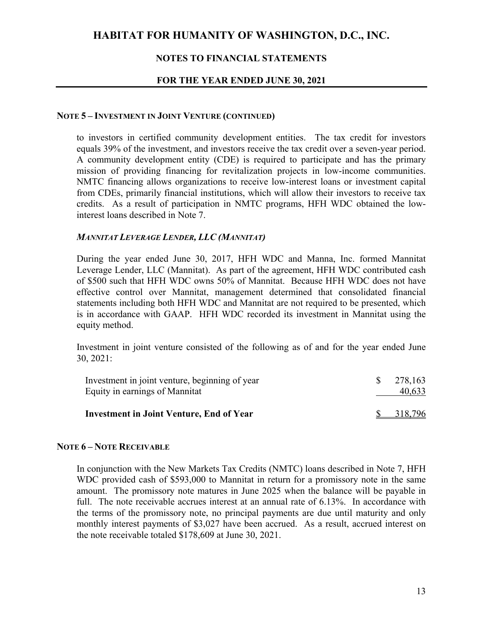## **NOTES TO FINANCIAL STATEMENTS**

## **FOR THE YEAR ENDED JUNE 30, 2021**

#### **NOTE 5 – INVESTMENT IN JOINT VENTURE (CONTINUED)**

to investors in certified community development entities. The tax credit for investors equals 39% of the investment, and investors receive the tax credit over a seven-year period. A community development entity (CDE) is required to participate and has the primary mission of providing financing for revitalization projects in low-income communities. NMTC financing allows organizations to receive low-interest loans or investment capital from CDEs, primarily financial institutions, which will allow their investors to receive tax credits. As a result of participation in NMTC programs, HFH WDC obtained the lowinterest loans described in Note 7.

## *MANNITAT LEVERAGE LENDER, LLC (MANNITAT)*

During the year ended June 30, 2017, HFH WDC and Manna, Inc. formed Mannitat Leverage Lender, LLC (Mannitat). As part of the agreement, HFH WDC contributed cash of \$500 such that HFH WDC owns 50% of Mannitat. Because HFH WDC does not have effective control over Mannitat, management determined that consolidated financial statements including both HFH WDC and Mannitat are not required to be presented, which is in accordance with GAAP. HFH WDC recorded its investment in Mannitat using the equity method.

Investment in joint venture consisted of the following as of and for the year ended June 30, 2021:

| Investment in joint venture, beginning of year<br>Equity in earnings of Mannitat | 278,163<br>40,633 |
|----------------------------------------------------------------------------------|-------------------|
| <b>Investment in Joint Venture, End of Year</b>                                  | 318,796           |

## **NOTE 6 – NOTE RECEIVABLE**

In conjunction with the New Markets Tax Credits (NMTC) loans described in Note 7, HFH WDC provided cash of \$593,000 to Mannitat in return for a promissory note in the same amount. The promissory note matures in June 2025 when the balance will be payable in full. The note receivable accrues interest at an annual rate of 6.13%. In accordance with the terms of the promissory note, no principal payments are due until maturity and only monthly interest payments of \$3,027 have been accrued. As a result, accrued interest on the note receivable totaled \$178,609 at June 30, 2021.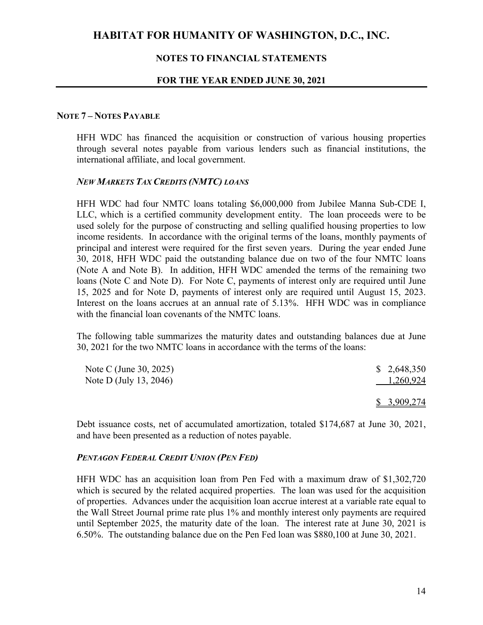## **NOTES TO FINANCIAL STATEMENTS**

## **FOR THE YEAR ENDED JUNE 30, 2021**

#### **NOTE 7 – NOTES PAYABLE**

HFH WDC has financed the acquisition or construction of various housing properties through several notes payable from various lenders such as financial institutions, the international affiliate, and local government.

#### *NEW MARKETS TAX CREDITS (NMTC) LOANS*

HFH WDC had four NMTC loans totaling \$6,000,000 from Jubilee Manna Sub-CDE I, LLC, which is a certified community development entity. The loan proceeds were to be used solely for the purpose of constructing and selling qualified housing properties to low income residents. In accordance with the original terms of the loans, monthly payments of principal and interest were required for the first seven years. During the year ended June 30, 2018, HFH WDC paid the outstanding balance due on two of the four NMTC loans (Note A and Note B). In addition, HFH WDC amended the terms of the remaining two loans (Note C and Note D). For Note C, payments of interest only are required until June 15, 2025 and for Note D, payments of interest only are required until August 15, 2023. Interest on the loans accrues at an annual rate of 5.13%. HFH WDC was in compliance with the financial loan covenants of the NMTC loans.

The following table summarizes the maturity dates and outstanding balances due at June 30, 2021 for the two NMTC loans in accordance with the terms of the loans:

| Note C (June 30, 2025) | \$2,648,350 |
|------------------------|-------------|
| Note D (July 13, 2046) | 1,260,924   |
|                        | \$3,909,274 |

Debt issuance costs, net of accumulated amortization, totaled \$174,687 at June 30, 2021, and have been presented as a reduction of notes payable.

## *PENTAGON FEDERAL CREDIT UNION (PEN FED)*

HFH WDC has an acquisition loan from Pen Fed with a maximum draw of \$1,302,720 which is secured by the related acquired properties. The loan was used for the acquisition of properties. Advances under the acquisition loan accrue interest at a variable rate equal to the Wall Street Journal prime rate plus 1% and monthly interest only payments are required until September 2025, the maturity date of the loan. The interest rate at June 30, 2021 is 6.50%. The outstanding balance due on the Pen Fed loan was \$880,100 at June 30, 2021.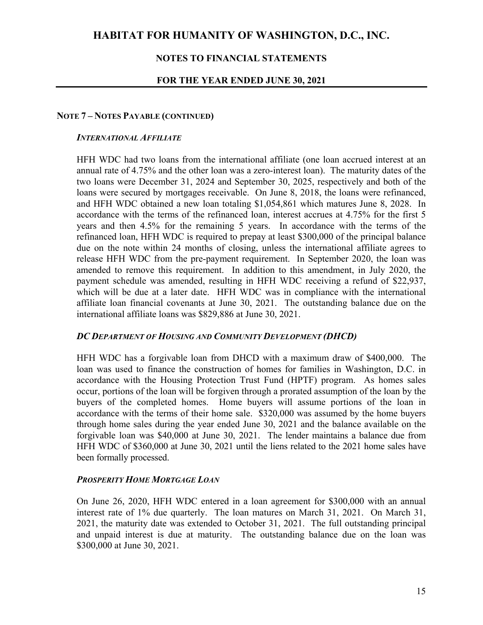# **NOTES TO FINANCIAL STATEMENTS**

## **FOR THE YEAR ENDED JUNE 30, 2021**

## **NOTE 7 – NOTES PAYABLE (CONTINUED)**

## *INTERNATIONAL AFFILIATE*

HFH WDC had two loans from the international affiliate (one loan accrued interest at an annual rate of 4.75% and the other loan was a zero-interest loan). The maturity dates of the two loans were December 31, 2024 and September 30, 2025, respectively and both of the loans were secured by mortgages receivable. On June 8, 2018, the loans were refinanced, and HFH WDC obtained a new loan totaling \$1,054,861 which matures June 8, 2028. In accordance with the terms of the refinanced loan, interest accrues at 4.75% for the first 5 years and then 4.5% for the remaining 5 years. In accordance with the terms of the refinanced loan, HFH WDC is required to prepay at least \$300,000 of the principal balance due on the note within 24 months of closing, unless the international affiliate agrees to release HFH WDC from the pre-payment requirement. In September 2020, the loan was amended to remove this requirement. In addition to this amendment, in July 2020, the payment schedule was amended, resulting in HFH WDC receiving a refund of \$22,937, which will be due at a later date. HFH WDC was in compliance with the international affiliate loan financial covenants at June 30, 2021. The outstanding balance due on the international affiliate loans was \$829,886 at June 30, 2021.

## *DC DEPARTMENT OF HOUSING AND COMMUNITY DEVELOPMENT (DHCD)*

HFH WDC has a forgivable loan from DHCD with a maximum draw of \$400,000. The loan was used to finance the construction of homes for families in Washington, D.C. in accordance with the Housing Protection Trust Fund (HPTF) program. As homes sales occur, portions of the loan will be forgiven through a prorated assumption of the loan by the buyers of the completed homes. Home buyers will assume portions of the loan in accordance with the terms of their home sale. \$320,000 was assumed by the home buyers through home sales during the year ended June 30, 2021 and the balance available on the forgivable loan was \$40,000 at June 30, 2021. The lender maintains a balance due from HFH WDC of \$360,000 at June 30, 2021 until the liens related to the 2021 home sales have been formally processed.

## *PROSPERITY HOME MORTGAGE LOAN*

On June 26, 2020, HFH WDC entered in a loan agreement for \$300,000 with an annual interest rate of 1% due quarterly. The loan matures on March 31, 2021. On March 31, 2021, the maturity date was extended to October 31, 2021. The full outstanding principal and unpaid interest is due at maturity. The outstanding balance due on the loan was \$300,000 at June 30, 2021.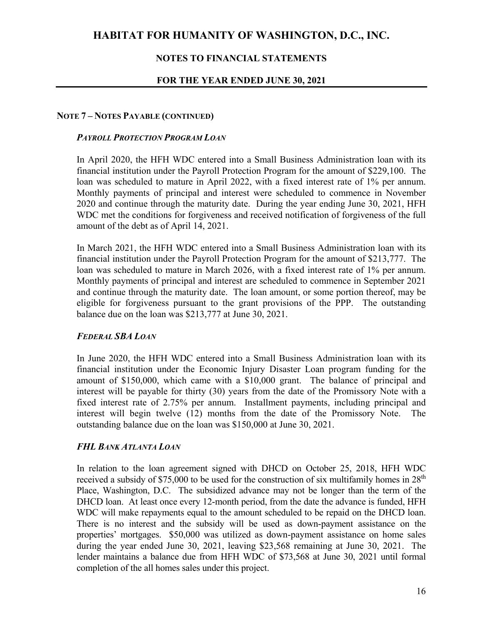## **NOTES TO FINANCIAL STATEMENTS**

## **FOR THE YEAR ENDED JUNE 30, 2021**

## **NOTE 7 – NOTES PAYABLE (CONTINUED)**

#### *PAYROLL PROTECTION PROGRAM LOAN*

In April 2020, the HFH WDC entered into a Small Business Administration loan with its financial institution under the Payroll Protection Program for the amount of \$229,100. The loan was scheduled to mature in April 2022, with a fixed interest rate of 1% per annum. Monthly payments of principal and interest were scheduled to commence in November 2020 and continue through the maturity date. During the year ending June 30, 2021, HFH WDC met the conditions for forgiveness and received notification of forgiveness of the full amount of the debt as of April 14, 2021.

In March 2021, the HFH WDC entered into a Small Business Administration loan with its financial institution under the Payroll Protection Program for the amount of \$213,777. The loan was scheduled to mature in March 2026, with a fixed interest rate of 1% per annum. Monthly payments of principal and interest are scheduled to commence in September 2021 and continue through the maturity date. The loan amount, or some portion thereof, may be eligible for forgiveness pursuant to the grant provisions of the PPP. The outstanding balance due on the loan was \$213,777 at June 30, 2021.

## *FEDERAL SBA LOAN*

In June 2020, the HFH WDC entered into a Small Business Administration loan with its financial institution under the Economic Injury Disaster Loan program funding for the amount of \$150,000, which came with a \$10,000 grant. The balance of principal and interest will be payable for thirty (30) years from the date of the Promissory Note with a fixed interest rate of 2.75% per annum. Installment payments, including principal and interest will begin twelve (12) months from the date of the Promissory Note. The outstanding balance due on the loan was \$150,000 at June 30, 2021.

### *FHL BANK ATLANTA LOAN*

In relation to the loan agreement signed with DHCD on October 25, 2018, HFH WDC received a subsidy of \$75,000 to be used for the construction of six multifamily homes in  $28<sup>th</sup>$ Place, Washington, D.C. The subsidized advance may not be longer than the term of the DHCD loan. At least once every 12-month period, from the date the advance is funded, HFH WDC will make repayments equal to the amount scheduled to be repaid on the DHCD loan. There is no interest and the subsidy will be used as down-payment assistance on the properties' mortgages. \$50,000 was utilized as down-payment assistance on home sales during the year ended June 30, 2021, leaving \$23,568 remaining at June 30, 2021. The lender maintains a balance due from HFH WDC of \$73,568 at June 30, 2021 until formal completion of the all homes sales under this project.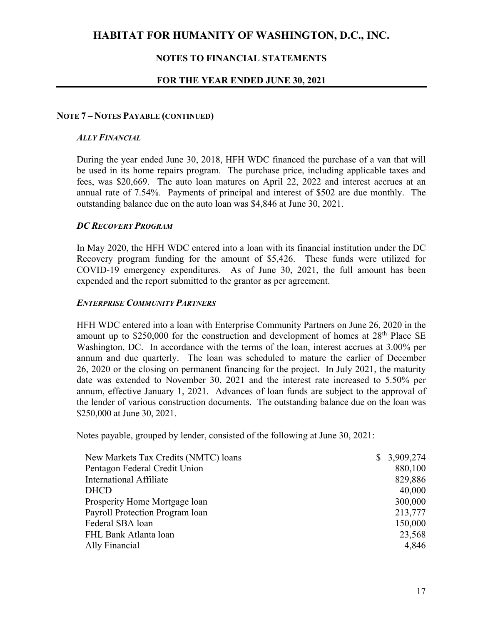## **NOTES TO FINANCIAL STATEMENTS**

## **FOR THE YEAR ENDED JUNE 30, 2021**

## **NOTE 7 – NOTES PAYABLE (CONTINUED)**

#### *ALLY FINANCIAL*

During the year ended June 30, 2018, HFH WDC financed the purchase of a van that will be used in its home repairs program. The purchase price, including applicable taxes and fees, was \$20,669. The auto loan matures on April 22, 2022 and interest accrues at an annual rate of 7.54%. Payments of principal and interest of \$502 are due monthly. The outstanding balance due on the auto loan was \$4,846 at June 30, 2021.

## *DC RECOVERY PROGRAM*

In May 2020, the HFH WDC entered into a loan with its financial institution under the DC Recovery program funding for the amount of \$5,426. These funds were utilized for COVID-19 emergency expenditures. As of June 30, 2021, the full amount has been expended and the report submitted to the grantor as per agreement.

#### *ENTERPRISE COMMUNITY PARTNERS*

HFH WDC entered into a loan with Enterprise Community Partners on June 26, 2020 in the amount up to  $$250,000$  for the construction and development of homes at  $28<sup>th</sup>$  Place SE Washington, DC. In accordance with the terms of the loan, interest accrues at 3.00% per annum and due quarterly. The loan was scheduled to mature the earlier of December 26, 2020 or the closing on permanent financing for the project. In July 2021, the maturity date was extended to November 30, 2021 and the interest rate increased to 5.50% per annum, effective January 1, 2021. Advances of loan funds are subject to the approval of the lender of various construction documents. The outstanding balance due on the loan was \$250,000 at June 30, 2021.

Notes payable, grouped by lender, consisted of the following at June 30, 2021:

| New Markets Tax Credits (NMTC) loans | \$3,909,274 |
|--------------------------------------|-------------|
| Pentagon Federal Credit Union        | 880,100     |
| International Affiliate              | 829,886     |
| <b>DHCD</b>                          | 40,000      |
| Prosperity Home Mortgage loan        | 300,000     |
| Payroll Protection Program loan      | 213,777     |
| Federal SBA loan                     | 150,000     |
| FHL Bank Atlanta loan                | 23,568      |
| Ally Financial                       | 4,846       |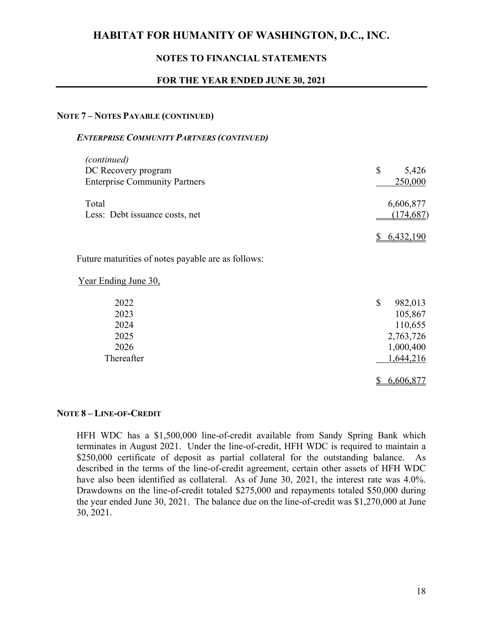## **NOTES TO FINANCIAL STATEMENTS**

## **FOR THE YEAR ENDED JUNE 30, 2021**

#### **NOTE 7 – NOTES PAYABLE (CONTINUED)**

#### *ENTERPRISE COMMUNITY PARTNERS (CONTINUED)*

| <i>(continued)</i>                                 |                |
|----------------------------------------------------|----------------|
| DC Recovery program                                | \$<br>5,426    |
| <b>Enterprise Community Partners</b>               | 250,000        |
| Total                                              | 6,606,877      |
| Less: Debt issuance costs, net                     | (174, 687)     |
|                                                    | 6,432,190      |
| Future maturities of notes payable are as follows: |                |
| Year Ending June 30,                               |                |
| 2022                                               | \$<br>982,013  |
| 2023                                               | 105,867        |
| 2024                                               | 110,655        |
| 2025                                               | 2,763,726      |
| 2026                                               | 1,000,400      |
| Thereafter                                         | 1,644,216      |
|                                                    | 6,606,877<br>S |

## **NOTE 8 – LINE-OF-CREDIT**

HFH WDC has a \$1,500,000 line-of-credit available from Sandy Spring Bank which terminates in August 2021. Under the line-of-credit, HFH WDC is required to maintain a \$250,000 certificate of deposit as partial collateral for the outstanding balance. As described in the terms of the line-of-credit agreement, certain other assets of HFH WDC have also been identified as collateral. As of June 30, 2021, the interest rate was 4.0%. Drawdowns on the line-of-credit totaled \$275,000 and repayments totaled \$50,000 during the year ended June 30, 2021. The balance due on the line-of-credit was \$1,270,000 at June 30, 2021.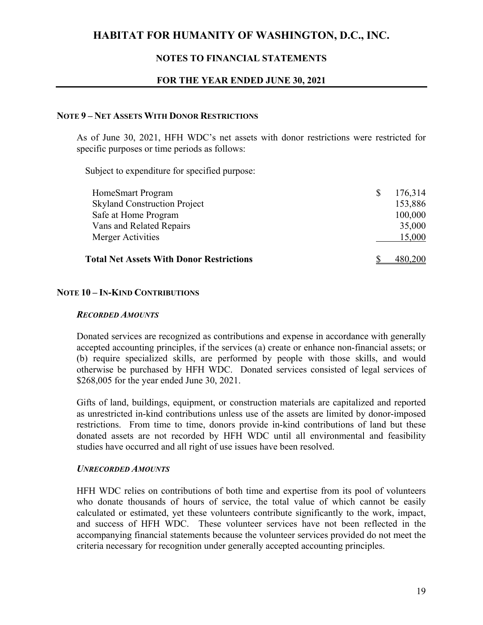## **NOTES TO FINANCIAL STATEMENTS**

## **FOR THE YEAR ENDED JUNE 30, 2021**

#### **NOTE 9 – NET ASSETS WITH DONOR RESTRICTIONS**

As of June 30, 2021, HFH WDC's net assets with donor restrictions were restricted for specific purposes or time periods as follows:

Subject to expenditure for specified purpose:

| <b>Total Net Assets With Donor Restrictions</b> | 480,200 |
|-------------------------------------------------|---------|
| Merger Activities                               | 15,000  |
| Vans and Related Repairs                        | 35,000  |
| Safe at Home Program                            | 100,000 |
| <b>Skyland Construction Project</b>             | 153,886 |
| HomeSmart Program                               | 176,314 |

## **NOTE 10 – IN-KIND CONTRIBUTIONS**

#### *RECORDED AMOUNTS*

Donated services are recognized as contributions and expense in accordance with generally accepted accounting principles, if the services (a) create or enhance non-financial assets; or (b) require specialized skills, are performed by people with those skills, and would otherwise be purchased by HFH WDC. Donated services consisted of legal services of \$268,005 for the year ended June 30, 2021.

Gifts of land, buildings, equipment, or construction materials are capitalized and reported as unrestricted in-kind contributions unless use of the assets are limited by donor-imposed restrictions. From time to time, donors provide in-kind contributions of land but these donated assets are not recorded by HFH WDC until all environmental and feasibility studies have occurred and all right of use issues have been resolved.

#### *UNRECORDED AMOUNTS*

HFH WDC relies on contributions of both time and expertise from its pool of volunteers who donate thousands of hours of service, the total value of which cannot be easily calculated or estimated, yet these volunteers contribute significantly to the work, impact, and success of HFH WDC. These volunteer services have not been reflected in the accompanying financial statements because the volunteer services provided do not meet the criteria necessary for recognition under generally accepted accounting principles.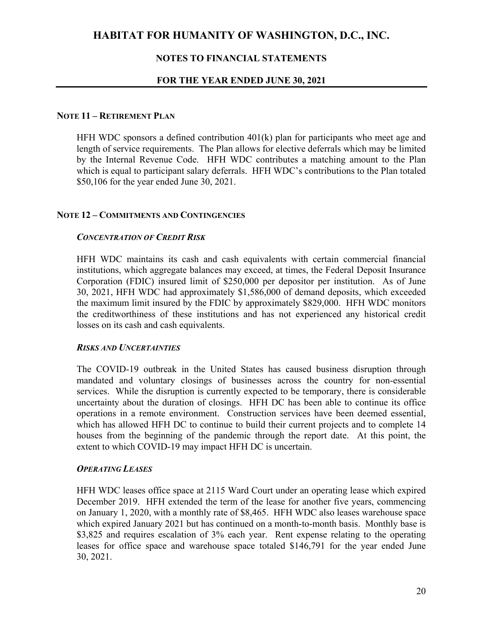## **NOTES TO FINANCIAL STATEMENTS**

## **FOR THE YEAR ENDED JUNE 30, 2021**

#### **NOTE 11 – RETIREMENT PLAN**

HFH WDC sponsors a defined contribution 401(k) plan for participants who meet age and length of service requirements. The Plan allows for elective deferrals which may be limited by the Internal Revenue Code. HFH WDC contributes a matching amount to the Plan which is equal to participant salary deferrals. HFH WDC's contributions to the Plan totaled \$50,106 for the year ended June 30, 2021.

## **NOTE 12 – COMMITMENTS AND CONTINGENCIES**

#### *CONCENTRATION OF CREDIT RISK*

HFH WDC maintains its cash and cash equivalents with certain commercial financial institutions, which aggregate balances may exceed, at times, the Federal Deposit Insurance Corporation (FDIC) insured limit of \$250,000 per depositor per institution. As of June 30, 2021, HFH WDC had approximately \$1,586,000 of demand deposits, which exceeded the maximum limit insured by the FDIC by approximately \$829,000. HFH WDC monitors the creditworthiness of these institutions and has not experienced any historical credit losses on its cash and cash equivalents.

## *RISKS AND UNCERTAINTIES*

The COVID-19 outbreak in the United States has caused business disruption through mandated and voluntary closings of businesses across the country for non-essential services. While the disruption is currently expected to be temporary, there is considerable uncertainty about the duration of closings. HFH DC has been able to continue its office operations in a remote environment. Construction services have been deemed essential, which has allowed HFH DC to continue to build their current projects and to complete 14 houses from the beginning of the pandemic through the report date. At this point, the extent to which COVID-19 may impact HFH DC is uncertain.

#### *OPERATING LEASES*

HFH WDC leases office space at 2115 Ward Court under an operating lease which expired December 2019. HFH extended the term of the lease for another five years, commencing on January 1, 2020, with a monthly rate of \$8,465. HFH WDC also leases warehouse space which expired January 2021 but has continued on a month-to-month basis. Monthly base is \$3,825 and requires escalation of 3% each year. Rent expense relating to the operating leases for office space and warehouse space totaled \$146,791 for the year ended June 30, 2021.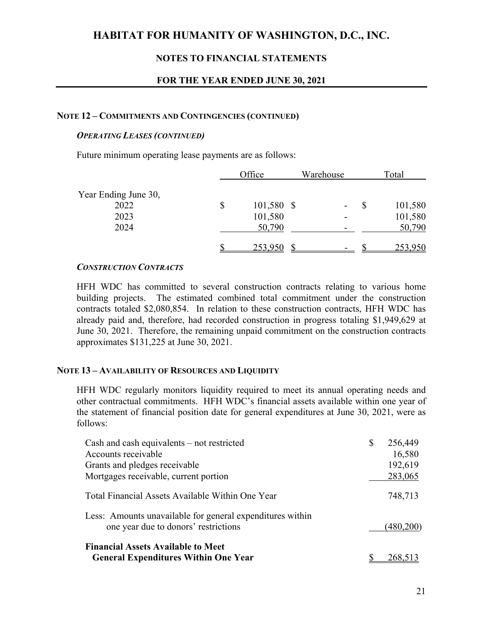## **NOTES TO FINANCIAL STATEMENTS**

## **FOR THE YEAR ENDED JUNE 30, 2021**

#### **NOTE 12 – COMMITMENTS AND CONTINGENCIES (CONTINUED)**

#### *OPERATING LEASES (CONTINUED)*

Future minimum operating lease payments are as follows:

|                      | Office           | Warehouse | Total   |
|----------------------|------------------|-----------|---------|
| Year Ending June 30, |                  |           |         |
| 2022                 | \$<br>101,580 \$ |           | 101,580 |
| 2023                 | 101,580          |           | 101,580 |
| 2024                 | 50,790           |           | 50,790  |
|                      | 253,950          |           | 253,950 |

#### *CONSTRUCTION CONTRACTS*

HFH WDC has committed to several construction contracts relating to various home building projects. The estimated combined total commitment under the construction contracts totaled \$2,080,854. In relation to these construction contracts, HFH WDC has already paid and, therefore, had recorded construction in progress totaling \$1,949,629 at June 30, 2021. Therefore, the remaining unpaid commitment on the construction contracts approximates \$131,225 at June 30, 2021.

## **NOTE 13 – AVAILABILITY OF RESOURCES AND LIQUIDITY**

HFH WDC regularly monitors liquidity required to meet its annual operating needs and other contractual commitments. HFH WDC's financial assets available within one year of the statement of financial position date for general expenditures at June 30, 2021, were as follows:

| Cash and cash equivalents – not restricted                                                        | \$<br>256,449 |
|---------------------------------------------------------------------------------------------------|---------------|
| Accounts receivable                                                                               | 16,580        |
| Grants and pledges receivable                                                                     | 192,619       |
| Mortgages receivable, current portion                                                             | 283,065       |
| Total Financial Assets Available Within One Year                                                  | 748,713       |
| Less: Amounts unavailable for general expenditures within<br>one year due to donors' restrictions | (480,200)     |
| <b>Financial Assets Available to Meet</b>                                                         |               |
| <b>General Expenditures Within One Year</b>                                                       | 268.513       |